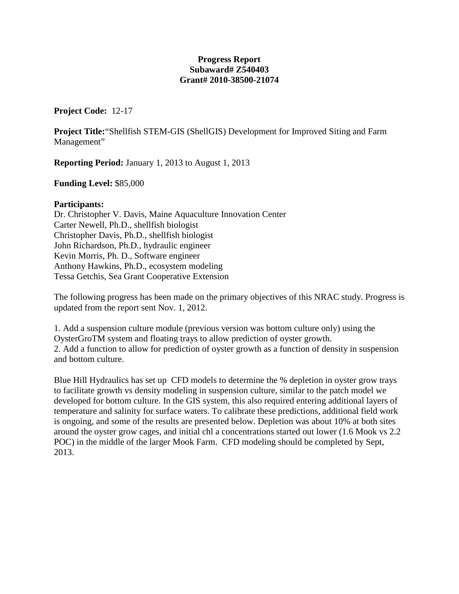## **Progress Report Subaward# Z540403 Grant# 2010-38500-21074**

**Project Code:** 12-17

**Project Title:**"Shellfish STEM-GIS (ShellGIS) Development for Improved Siting and Farm Management"

**Reporting Period:** January 1, 2013 to August 1, 2013

**Funding Level:** \$85,000

## **Participants:**

Dr. Christopher V. Davis, Maine Aquaculture Innovation Center Carter Newell, Ph.D., shellfish biologist Christopher Davis, Ph.D., shellfish biologist John Richardson, Ph.D., hydraulic engineer Kevin Morris, Ph. D., Software engineer Anthony Hawkins, Ph.D., ecosystem modeling Tessa Getchis, Sea Grant Cooperative Extension

The following progress has been made on the primary objectives of this NRAC study. Progress is updated from the report sent Nov. 1, 2012.

1. Add a suspension culture module (previous version was bottom culture only) using the OysterGroTM system and floating trays to allow prediction of oyster growth. 2. Add a function to allow for prediction of oyster growth as a function of density in suspension and bottom culture.

<span id="page-0-0"></span>Blue Hill Hydraulics has set up CFD models to determine the % depletion in oyster grow trays to facilitate growth vs density modeling in suspension culture, similar to the patch model we developed for bottom culture. In the GIS system, this also required entering additional layers of temperature and salinity for surface waters. To calibrate these predictions, additional field work is ongoing, and some of the results are presented below. Depletion was about 10% at both sites around the oyster grow cages, and initial chl a concentrations started out lower (1.6 Mook vs 2.2 POC) in the middle of the larger Mook Farm. CFD modeling should be completed by Sept, 2013.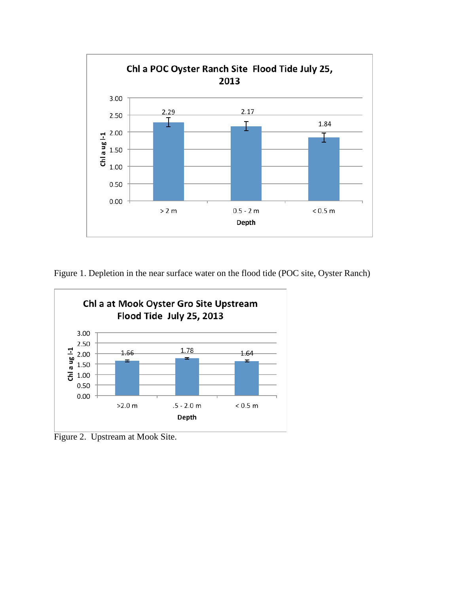

Figure 1. Depletion in the near surface water on the flood tide (POC site, Oyster Ranch)



Figure 2. Upstream at Mook Site.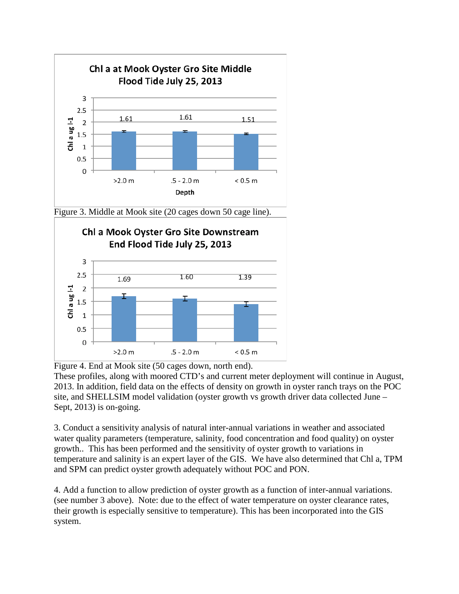

Figure 3. Middle at Mook site (20 cages down 50 cage line).



Figure 4. End at Mook site (50 cages down, north end).

These profiles, along with moored CTD's and current meter deployment will continue in August, 2013. In addition, field data on the effects of density on growth in oyster ranch trays on the POC site, and SHELLSIM model validation (oyster growth vs growth driver data collected June – Sept, 2013) is on-going.

3. Conduct a sensitivity analysis of natural inter-annual variations in weather and associated water quality parameters (temperature, salinity, food concentration and food quality) on oyster growth.. This has been performed and the sensitivity of oyster growth to variations in temperature and salinity is an expert layer of the GIS. We have also determined that Chl a, TPM and SPM can predict oyster growth adequately without POC and PON.

4. Add a function to allow prediction of oyster growth as a function of inter-annual variations. (see number 3 above). Note: due to the effect of water temperature on oyster clearance rates, their growth is especially sensitive to temperature). This has been incorporated into the GIS system.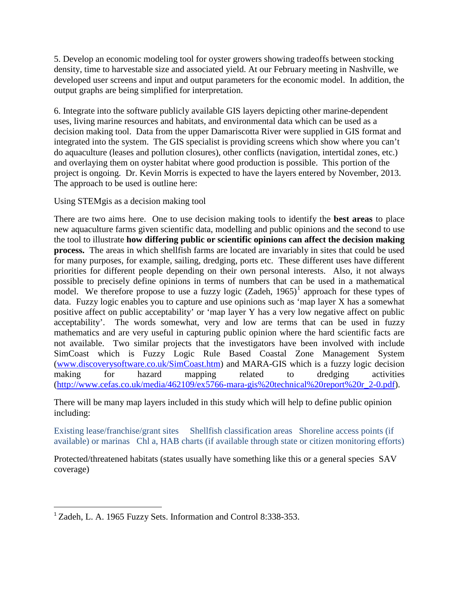5. Develop an economic modeling tool for oyster growers showing tradeoffs between stocking density, time to harvestable size and associated yield. At our February meeting in Nashville, we developed user screens and input and output parameters for the economic model. In addition, the output graphs are being simplified for interpretation.

6. Integrate into the software publicly available GIS layers depicting other marine-dependent uses, living marine resources and habitats, and environmental data which can be used as a decision making tool. Data from the upper Damariscotta River were supplied in GIS format and integrated into the system. The GIS specialist is providing screens which show where you can't do aquaculture (leases and pollution closures), other conflicts (navigation, intertidal zones, etc.) and overlaying them on oyster habitat where good production is possible. This portion of the project is ongoing. Dr. Kevin Morris is expected to have the layers entered by November, 2013. The approach to be used is outline here:

Using STEMgis as a decision making tool

There are two aims here. One to use decision making tools to identify the **best areas** to place new aquaculture farms given scientific data, modelling and public opinions and the second to use the tool to illustrate **how differing public or scientific opinions can affect the decision making process.** The areas in which shellfish farms are located are invariably in sites that could be used for many purposes, for example, sailing, dredging, ports etc. These different uses have different priorities for different people depending on their own personal interests. Also, it not always possible to precisely define opinions in terms of numbers that can be used in a mathematical model. We therefore propose to use a fuzzy logic  $(Zadeh, 1965)^1$  $(Zadeh, 1965)^1$  $(Zadeh, 1965)^1$  approach for these types of data. Fuzzy logic enables you to capture and use opinions such as 'map layer X has a somewhat positive affect on public acceptability' or 'map layer Y has a very low negative affect on public acceptability'. The words somewhat, very and low are terms that can be used in fuzzy mathematics and are very useful in capturing public opinion where the hard scientific facts are not available. Two similar projects that the investigators have been involved with include SimCoast which is Fuzzy Logic Rule Based Coastal Zone Management System [\(www.discoverysoftware.co.uk/SimCoast.htm\)](http://www.discoverysoftware.co.uk/SimCoast.htm) and MARA-GIS which is a fuzzy logic decision making for hazard mapping related to dredging activities [\(http://www.cefas.co.uk/media/462109/ex5766-mara-gis%20technical%20report%20r\\_2-0.pdf\)](http://www.cefas.co.uk/media/462109/ex5766-mara-gis%20technical%20report%20r_2-0.pdf).

There will be many map layers included in this study which will help to define public opinion including:

Existing lease/franchise/grant sites Shellfish classification areas Shoreline access points (if available) or marinas Chl a, HAB charts (if available through state or citizen monitoring efforts)

Protected/threatened habitats (states usually have something like this or a general species SAV coverage)

 <sup>1</sup> Zadeh, L. A. 1965 Fuzzy Sets. Information and Control 8:338-353.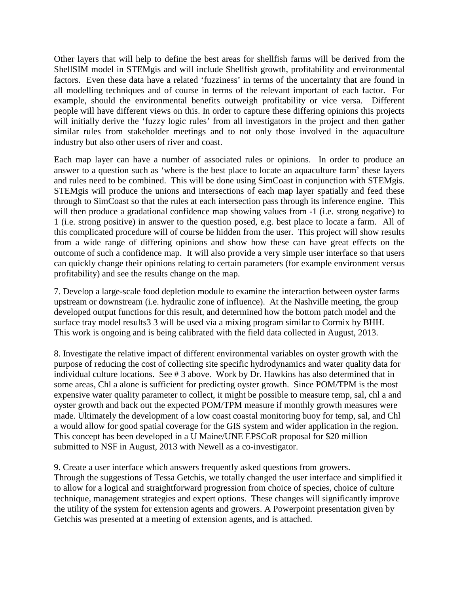Other layers that will help to define the best areas for shellfish farms will be derived from the ShellSIM model in STEMgis and will include Shellfish growth, profitability and environmental factors. Even these data have a related 'fuzziness' in terms of the uncertainty that are found in all modelling techniques and of course in terms of the relevant important of each factor. For example, should the environmental benefits outweigh profitability or vice versa. Different people will have different views on this. In order to capture these differing opinions this projects will initially derive the 'fuzzy logic rules' from all investigators in the project and then gather similar rules from stakeholder meetings and to not only those involved in the aquaculture industry but also other users of river and coast.

Each map layer can have a number of associated rules or opinions. In order to produce an answer to a question such as 'where is the best place to locate an aquaculture farm' these layers and rules need to be combined. This will be done using SimCoast in conjunction with STEMgis. STEMgis will produce the unions and intersections of each map layer spatially and feed these through to SimCoast so that the rules at each intersection pass through its inference engine. This will then produce a gradational confidence map showing values from -1 (i.e. strong negative) to 1 (i.e. strong positive) in answer to the question posed, e.g. best place to locate a farm. All of this complicated procedure will of course be hidden from the user. This project will show results from a wide range of differing opinions and show how these can have great effects on the outcome of such a confidence map. It will also provide a very simple user interface so that users can quickly change their opinions relating to certain parameters (for example environment versus profitability) and see the results change on the map.

7. Develop a large-scale food depletion module to examine the interaction between oyster farms upstream or downstream (i.e. hydraulic zone of influence). At the Nashville meeting, the group developed output functions for this result, and determined how the bottom patch model and the surface tray model results3 3 will be used via a mixing program similar to Cormix by BHH. This work is ongoing and is being calibrated with the field data collected in August, 2013.

8. Investigate the relative impact of different environmental variables on oyster growth with the purpose of reducing the cost of collecting site specific hydrodynamics and water quality data for individual culture locations. See # 3 above. Work by Dr. Hawkins has also determined that in some areas, Chl a alone is sufficient for predicting oyster growth. Since POM/TPM is the most expensive water quality parameter to collect, it might be possible to measure temp, sal, chl a and oyster growth and back out the expected POM/TPM measure if monthly growth measures were made. Ultimately the development of a low coast coastal monitoring buoy for temp, sal, and Chl a would allow for good spatial coverage for the GIS system and wider application in the region. This concept has been developed in a U Maine/UNE EPSCoR proposal for \$20 million submitted to NSF in August, 2013 with Newell as a co-investigator.

9. Create a user interface which answers frequently asked questions from growers. Through the suggestions of Tessa Getchis, we totally changed the user interface and simplified it to allow for a logical and straightforward progression from choice of species, choice of culture technique, management strategies and expert options. These changes will significantly improve the utility of the system for extension agents and growers. A Powerpoint presentation given by Getchis was presented at a meeting of extension agents, and is attached.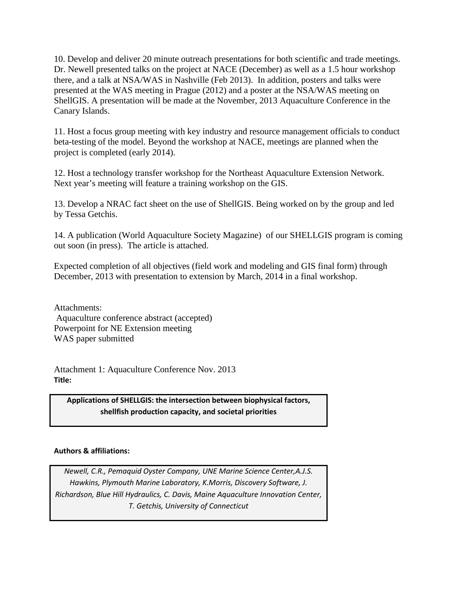10. Develop and deliver 20 minute outreach presentations for both scientific and trade meetings. Dr. Newell presented talks on the project at NACE (December) as well as a 1.5 hour workshop there, and a talk at NSA/WAS in Nashville (Feb 2013). In addition, posters and talks were presented at the WAS meeting in Prague (2012) and a poster at the NSA/WAS meeting on ShellGIS. A presentation will be made at the November, 2013 Aquaculture Conference in the Canary Islands.

11. Host a focus group meeting with key industry and resource management officials to conduct beta-testing of the model. Beyond the workshop at NACE, meetings are planned when the project is completed (early 2014).

12. Host a technology transfer workshop for the Northeast Aquaculture Extension Network. Next year's meeting will feature a training workshop on the GIS.

13. Develop a NRAC fact sheet on the use of ShellGIS. Being worked on by the group and led by Tessa Getchis.

14. A publication (World Aquaculture Society Magazine) of our SHELLGIS program is coming out soon (in press). The article is attached.

Expected completion of all objectives (field work and modeling and GIS final form) through December, 2013 with presentation to extension by March, 2014 in a final workshop.

Attachments: Aquaculture conference abstract (accepted) Powerpoint for NE Extension meeting WAS paper submitted

Attachment 1: Aquaculture Conference Nov. 2013 **Title:** 

**Applications of SHELLGIS: the intersection between biophysical factors, shellfish production capacity, and societal priorities**

## **Authors & affiliations:**

*Newell, C.R., Pemaquid Oyster Company, UNE Marine Science Center,A.J.S. Hawkins, Plymouth Marine Laboratory, K.Morris, Discovery Software, J. Richardson, Blue Hill Hydraulics, C. Davis, Maine Aquaculture Innovation Center, T. Getchis, University of Connecticut*